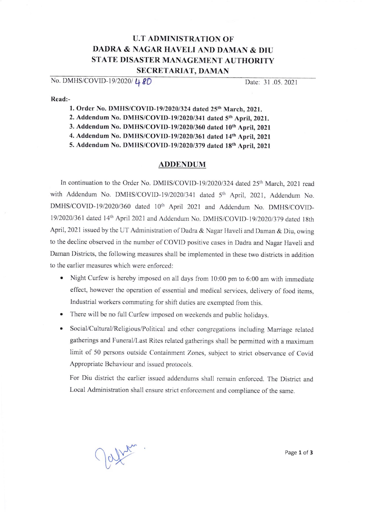## U.T ADMINISTRATION OF DADRA & NAGAR HAVELI AND DAMAN & DIU STATE DISASTER MANAGEMENT AUTHORITY SECRETARIAT, DAMAN

No. DMHS/COVID-19/2020/ **48D** Date: 31 .05.2021

Read:-

1. Order No. DMHS/COVID-19/2020/324 dated 25<sup>th</sup> March, 2021.

2. Addendum No. DMHS/COVID-19/2020/341 dated 5<sup>th</sup> April, 2021.

3. Addendum No. DMHS/COVID-19/2020/360 dated 10<sup>th</sup> April, 2021

4. Addendum No. DMHS/COVID-19/2020/361 dated 14th April, 2021

5. Addendum No. DMHS/COVID-19/2020/379 dated 18th April, 2021

## ADDENDUM

In continuation to the Order No. DMHS/COVID-19/2020/324 dated 25<sup>th</sup> March, 2021 read with Addendum No. DMHS/COVID-19/2020/341 dated 5<sup>th</sup> April, 2021, Addendum No. DMHS/COVID-19/2020/360 dated 10<sup>th</sup> April 2021 and Addendum No. DMHS/COVID-19/2020/361 dated 14<sup>th</sup> April 2021 and Addendum No. DMHS/COVID-19/2020/379 dated 18th April, 2021 issued by the UT Administration of Dadra & Nagar Haveli and Daman & Diu, owing to the decline observed in the number of COVID positive cases in Dadra and Nagar Haveli and Daman Districts, the following measures shall be implemented in these two districts in addition to the earlier measures which were enforced:

- . Night Curfew is hcrcby imposcd on all days from l0:00 pm to 6:00 am with immediate effect, however thc operation of esscntial and rnedical services, delivery of food items, Industrial workers commuting for shift duties are exempted from this.
- o There will be no full Curfew imposed on weckends and public holidays.
- Social/Cultural/Religious/Political and other congregations including Marriage related gatherings and Funeral/l.ast Rites relatcd gatherings shall bc permitted with a maximum limit of 50 persons outside Containment Zones, subject to strict observance of Covid Appropriate Behaviour and issued protocols.

For Diu district the earlicr issucd addendums shall remain enforced. The District and Local Administration shall ensure strict enforcement and compliance of the same.

 $\bigcirc$   $\bigcirc$   $\bigcirc$   $\bigcirc$   $\bigcirc$   $\bigcirc$  3